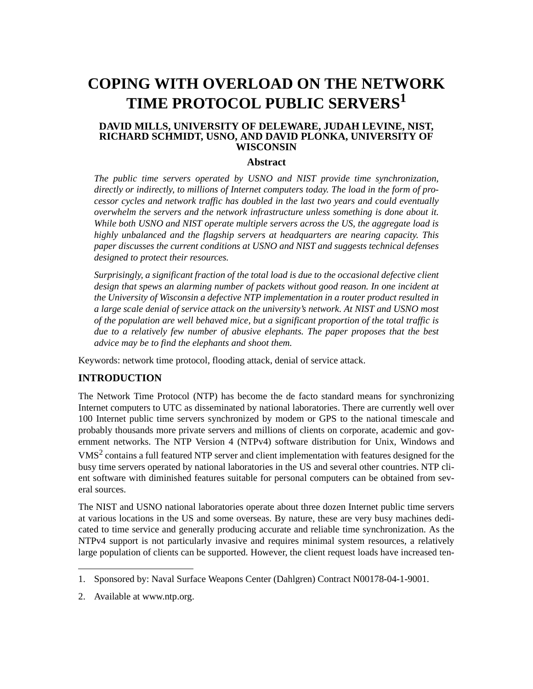# **COPING WITH OVERLOAD ON THE NETWORK TIME PROTOCOL PUBLIC SERVERS<sup>1</sup>**

#### **DAVID MILLS, UNIVERSITY OF DELEWARE, JUDAH LEVINE, NIST, RICHARD SCHMIDT, USNO, AND DAVID PLONKA, UNIVERSITY OF WISCONSIN**

#### **Abstract**

*The public time servers operated by USNO and NIST provide time synchronization, directly or indirectly, to millions of Internet computers today. The load in the form of processor cycles and network traffic has doubled in the last two years and could eventually overwhelm the servers and the network infrastructure unless something is done about it. While both USNO and NIST operate multiple servers across the US, the aggregate load is highly unbalanced and the flagship servers at headquarters are nearing capacity. This paper discusses the current conditions at USNO and NIST and suggests technical defenses designed to protect their resources.*

*Surprisingly, a significant fraction of the total load is due to the occasional defective client design that spews an alarming number of packets without good reason. In one incident at the University of Wisconsin a defective NTP implementation in a router product resulted in a large scale denial of service attack on the university's network. At NIST and USNO most of the population are well behaved mice, but a significant proportion of the total traffic is due to a relatively few number of abusive elephants. The paper proposes that the best advice may be to find the elephants and shoot them.*

Keywords: network time protocol, flooding attack, denial of service attack.

## **INTRODUCTION**

The Network Time Protocol (NTP) has become the de facto standard means for synchronizing Internet computers to UTC as disseminated by national laboratories. There are currently well over 100 Internet public time servers synchronized by modem or GPS to the national timescale and probably thousands more private servers and millions of clients on corporate, academic and government networks. The NTP Version 4 (NTPv4) software distribution for Unix, Windows and VMS2 contains a full featured NTP server and client implementation with features designed for the busy time servers operated by national laboratories in the US and several other countries. NTP client software with diminished features suitable for personal computers can be obtained from several sources.

The NIST and USNO national laboratories operate about three dozen Internet public time servers at various locations in the US and some overseas. By nature, these are very busy machines dedicated to time service and generally producing accurate and reliable time synchronization. As the NTPv4 support is not particularly invasive and requires minimal system resources, a relatively large population of clients can be supported. However, the client request loads have increased ten-

<sup>1.</sup> Sponsored by: Naval Surface Weapons Center (Dahlgren) Contract N00178-04-1-9001.

<sup>2.</sup> Available at www.ntp.org.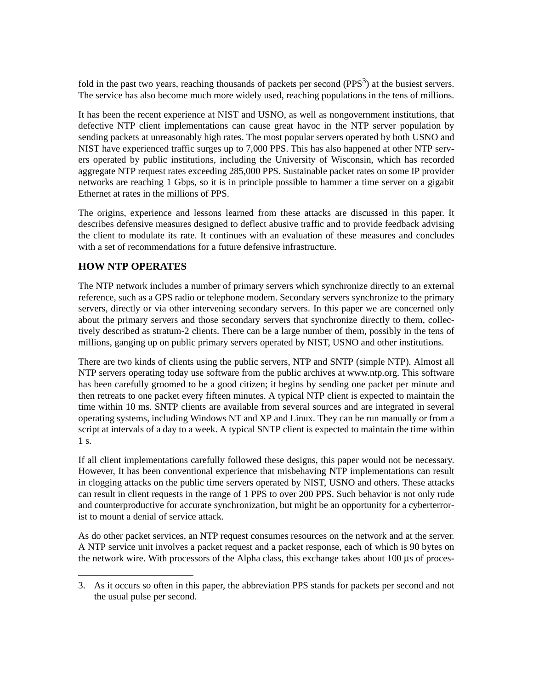fold in the past two years, reaching thousands of packets per second  $(PPS<sup>3</sup>)$  at the busiest servers. The service has also become much more widely used, reaching populations in the tens of millions.

It has been the recent experience at NIST and USNO, as well as nongovernment institutions, that defective NTP client implementations can cause great havoc in the NTP server population by sending packets at unreasonably high rates. The most popular servers operated by both USNO and NIST have experienced traffic surges up to 7,000 PPS. This has also happened at other NTP servers operated by public institutions, including the University of Wisconsin, which has recorded aggregate NTP request rates exceeding 285,000 PPS. Sustainable packet rates on some IP provider networks are reaching 1 Gbps, so it is in principle possible to hammer a time server on a gigabit Ethernet at rates in the millions of PPS.

The origins, experience and lessons learned from these attacks are discussed in this paper. It describes defensive measures designed to deflect abusive traffic and to provide feedback advising the client to modulate its rate. It continues with an evaluation of these measures and concludes with a set of recommendations for a future defensive infrastructure.

# **HOW NTP OPERATES**

The NTP network includes a number of primary servers which synchronize directly to an external reference, such as a GPS radio or telephone modem. Secondary servers synchronize to the primary servers, directly or via other intervening secondary servers. In this paper we are concerned only about the primary servers and those secondary servers that synchronize directly to them, collectively described as stratum-2 clients. There can be a large number of them, possibly in the tens of millions, ganging up on public primary servers operated by NIST, USNO and other institutions.

There are two kinds of clients using the public servers, NTP and SNTP (simple NTP). Almost all NTP servers operating today use software from the public archives at www.ntp.org. This software has been carefully groomed to be a good citizen; it begins by sending one packet per minute and then retreats to one packet every fifteen minutes. A typical NTP client is expected to maintain the time within 10 ms. SNTP clients are available from several sources and are integrated in several operating systems, including Windows NT and XP and Linux. They can be run manually or from a script at intervals of a day to a week. A typical SNTP client is expected to maintain the time within 1 s.

If all client implementations carefully followed these designs, this paper would not be necessary. However, It has been conventional experience that misbehaving NTP implementations can result in clogging attacks on the public time servers operated by NIST, USNO and others. These attacks can result in client requests in the range of 1 PPS to over 200 PPS. Such behavior is not only rude and counterproductive for accurate synchronization, but might be an opportunity for a cyberterrorist to mount a denial of service attack.

As do other packet services, an NTP request consumes resources on the network and at the server. A NTP service unit involves a packet request and a packet response, each of which is 90 bytes on the network wire. With processors of the Alpha class, this exchange takes about 100 µs of proces-

<sup>3.</sup> As it occurs so often in this paper, the abbreviation PPS stands for packets per second and not the usual pulse per second.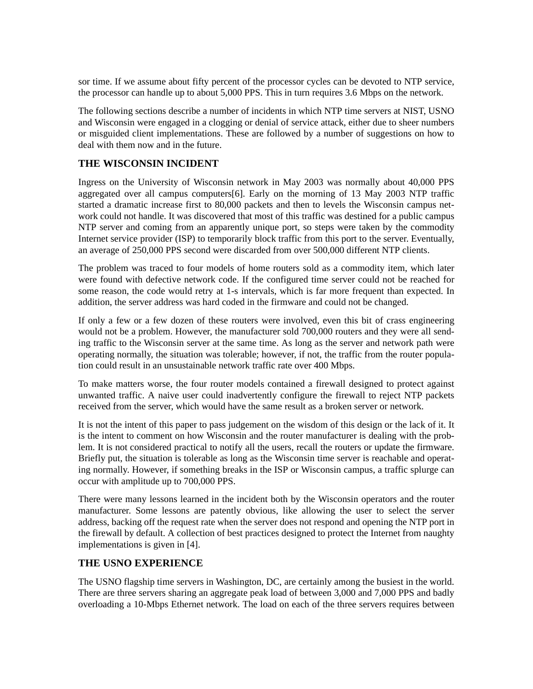sor time. If we assume about fifty percent of the processor cycles can be devoted to NTP service, the processor can handle up to about 5,000 PPS. This in turn requires 3.6 Mbps on the network.

The following sections describe a number of incidents in which NTP time servers at NIST, USNO and Wisconsin were engaged in a clogging or denial of service attack, either due to sheer numbers or misguided client implementations. These are followed by a number of suggestions on how to deal with them now and in the future.

### **THE WISCONSIN INCIDENT**

Ingress on the University of Wisconsin network in May 2003 was normally about 40,000 PPS aggregated over all campus computers[6]. Early on the morning of 13 May 2003 NTP traffic started a dramatic increase first to 80,000 packets and then to levels the Wisconsin campus network could not handle. It was discovered that most of this traffic was destined for a public campus NTP server and coming from an apparently unique port, so steps were taken by the commodity Internet service provider (ISP) to temporarily block traffic from this port to the server. Eventually, an average of 250,000 PPS second were discarded from over 500,000 different NTP clients.

The problem was traced to four models of home routers sold as a commodity item, which later were found with defective network code. If the configured time server could not be reached for some reason, the code would retry at 1-s intervals, which is far more frequent than expected. In addition, the server address was hard coded in the firmware and could not be changed.

If only a few or a few dozen of these routers were involved, even this bit of crass engineering would not be a problem. However, the manufacturer sold 700,000 routers and they were all sending traffic to the Wisconsin server at the same time. As long as the server and network path were operating normally, the situation was tolerable; however, if not, the traffic from the router population could result in an unsustainable network traffic rate over 400 Mbps.

To make matters worse, the four router models contained a firewall designed to protect against unwanted traffic. A naive user could inadvertently configure the firewall to reject NTP packets received from the server, which would have the same result as a broken server or network.

It is not the intent of this paper to pass judgement on the wisdom of this design or the lack of it. It is the intent to comment on how Wisconsin and the router manufacturer is dealing with the problem. It is not considered practical to notify all the users, recall the routers or update the firmware. Briefly put, the situation is tolerable as long as the Wisconsin time server is reachable and operating normally. However, if something breaks in the ISP or Wisconsin campus, a traffic splurge can occur with amplitude up to 700,000 PPS.

There were many lessons learned in the incident both by the Wisconsin operators and the router manufacturer. Some lessons are patently obvious, like allowing the user to select the server address, backing off the request rate when the server does not respond and opening the NTP port in the firewall by default. A collection of best practices designed to protect the Internet from naughty implementations is given in [4].

#### **THE USNO EXPERIENCE**

The USNO flagship time servers in Washington, DC, are certainly among the busiest in the world. There are three servers sharing an aggregate peak load of between 3,000 and 7,000 PPS and badly overloading a 10-Mbps Ethernet network. The load on each of the three servers requires between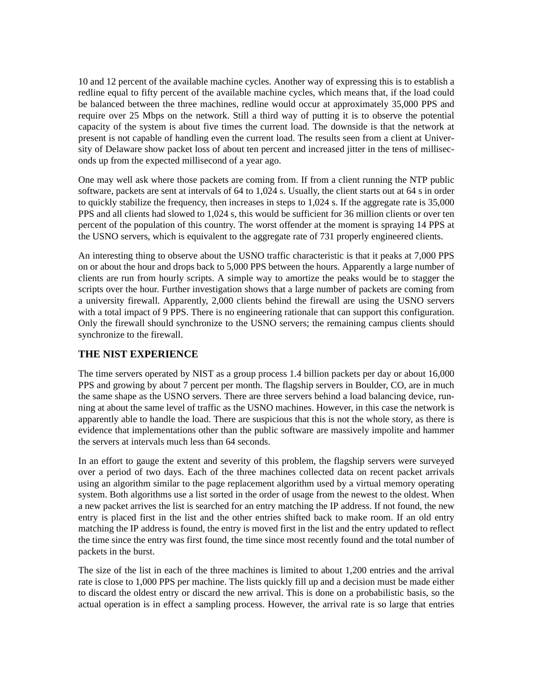10 and 12 percent of the available machine cycles. Another way of expressing this is to establish a redline equal to fifty percent of the available machine cycles, which means that, if the load could be balanced between the three machines, redline would occur at approximately 35,000 PPS and require over 25 Mbps on the network. Still a third way of putting it is to observe the potential capacity of the system is about five times the current load. The downside is that the network at present is not capable of handling even the current load. The results seen from a client at University of Delaware show packet loss of about ten percent and increased jitter in the tens of milliseconds up from the expected millisecond of a year ago.

One may well ask where those packets are coming from. If from a client running the NTP public software, packets are sent at intervals of 64 to 1,024 s. Usually, the client starts out at 64 s in order to quickly stabilize the frequency, then increases in steps to 1,024 s. If the aggregate rate is 35,000 PPS and all clients had slowed to 1,024 s, this would be sufficient for 36 million clients or over ten percent of the population of this country. The worst offender at the moment is spraying 14 PPS at the USNO servers, which is equivalent to the aggregate rate of 731 properly engineered clients.

An interesting thing to observe about the USNO traffic characteristic is that it peaks at 7,000 PPS on or about the hour and drops back to 5,000 PPS between the hours. Apparently a large number of clients are run from hourly scripts. A simple way to amortize the peaks would be to stagger the scripts over the hour. Further investigation shows that a large number of packets are coming from a university firewall. Apparently, 2,000 clients behind the firewall are using the USNO servers with a total impact of 9 PPS. There is no engineering rationale that can support this configuration. Only the firewall should synchronize to the USNO servers; the remaining campus clients should synchronize to the firewall.

## **THE NIST EXPERIENCE**

The time servers operated by NIST as a group process 1.4 billion packets per day or about 16,000 PPS and growing by about 7 percent per month. The flagship servers in Boulder, CO, are in much the same shape as the USNO servers. There are three servers behind a load balancing device, running at about the same level of traffic as the USNO machines. However, in this case the network is apparently able to handle the load. There are suspicious that this is not the whole story, as there is evidence that implementations other than the public software are massively impolite and hammer the servers at intervals much less than 64 seconds.

In an effort to gauge the extent and severity of this problem, the flagship servers were surveyed over a period of two days. Each of the three machines collected data on recent packet arrivals using an algorithm similar to the page replacement algorithm used by a virtual memory operating system. Both algorithms use a list sorted in the order of usage from the newest to the oldest. When a new packet arrives the list is searched for an entry matching the IP address. If not found, the new entry is placed first in the list and the other entries shifted back to make room. If an old entry matching the IP address is found, the entry is moved first in the list and the entry updated to reflect the time since the entry was first found, the time since most recently found and the total number of packets in the burst.

The size of the list in each of the three machines is limited to about 1,200 entries and the arrival rate is close to 1,000 PPS per machine. The lists quickly fill up and a decision must be made either to discard the oldest entry or discard the new arrival. This is done on a probabilistic basis, so the actual operation is in effect a sampling process. However, the arrival rate is so large that entries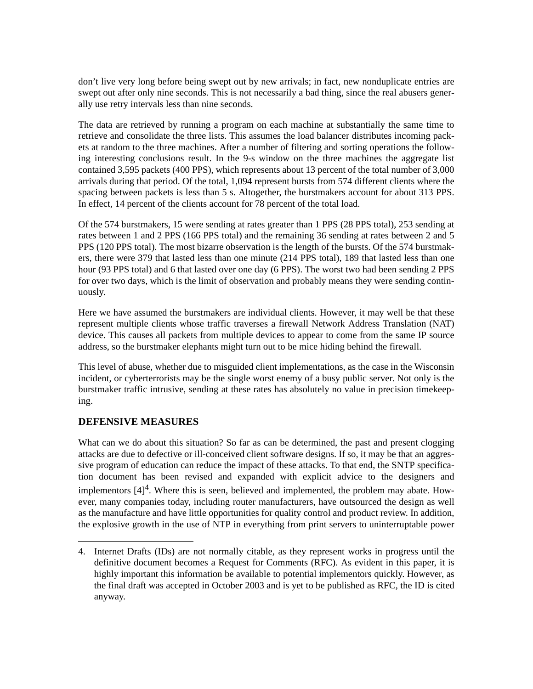don't live very long before being swept out by new arrivals; in fact, new nonduplicate entries are swept out after only nine seconds. This is not necessarily a bad thing, since the real abusers generally use retry intervals less than nine seconds.

The data are retrieved by running a program on each machine at substantially the same time to retrieve and consolidate the three lists. This assumes the load balancer distributes incoming packets at random to the three machines. After a number of filtering and sorting operations the following interesting conclusions result. In the 9-s window on the three machines the aggregate list contained 3,595 packets (400 PPS), which represents about 13 percent of the total number of 3,000 arrivals during that period. Of the total, 1,094 represent bursts from 574 different clients where the spacing between packets is less than 5 s. Altogether, the burstmakers account for about 313 PPS. In effect, 14 percent of the clients account for 78 percent of the total load.

Of the 574 burstmakers, 15 were sending at rates greater than 1 PPS (28 PPS total), 253 sending at rates between 1 and 2 PPS (166 PPS total) and the remaining 36 sending at rates between 2 and 5 PPS (120 PPS total). The most bizarre observation is the length of the bursts. Of the 574 burstmakers, there were 379 that lasted less than one minute (214 PPS total), 189 that lasted less than one hour (93 PPS total) and 6 that lasted over one day (6 PPS). The worst two had been sending 2 PPS for over two days, which is the limit of observation and probably means they were sending continuously.

Here we have assumed the burstmakers are individual clients. However, it may well be that these represent multiple clients whose traffic traverses a firewall Network Address Translation (NAT) device. This causes all packets from multiple devices to appear to come from the same IP source address, so the burstmaker elephants might turn out to be mice hiding behind the firewall.

This level of abuse, whether due to misguided client implementations, as the case in the Wisconsin incident, or cyberterrorists may be the single worst enemy of a busy public server. Not only is the burstmaker traffic intrusive, sending at these rates has absolutely no value in precision timekeeping.

## **DEFENSIVE MEASURES**

What can we do about this situation? So far as can be determined, the past and present clogging attacks are due to defective or ill-conceived client software designs. If so, it may be that an aggressive program of education can reduce the impact of these attacks. To that end, the SNTP specification document has been revised and expanded with explicit advice to the designers and implementors  $[4]^{4}$ . Where this is seen, believed and implemented, the problem may abate. However, many companies today, including router manufacturers, have outsourced the design as well as the manufacture and have little opportunities for quality control and product review. In addition, the explosive growth in the use of NTP in everything from print servers to uninterruptable power

<sup>4.</sup> Internet Drafts (IDs) are not normally citable, as they represent works in progress until the definitive document becomes a Request for Comments (RFC). As evident in this paper, it is highly important this information be available to potential implementors quickly. However, as the final draft was accepted in October 2003 and is yet to be published as RFC, the ID is cited anyway.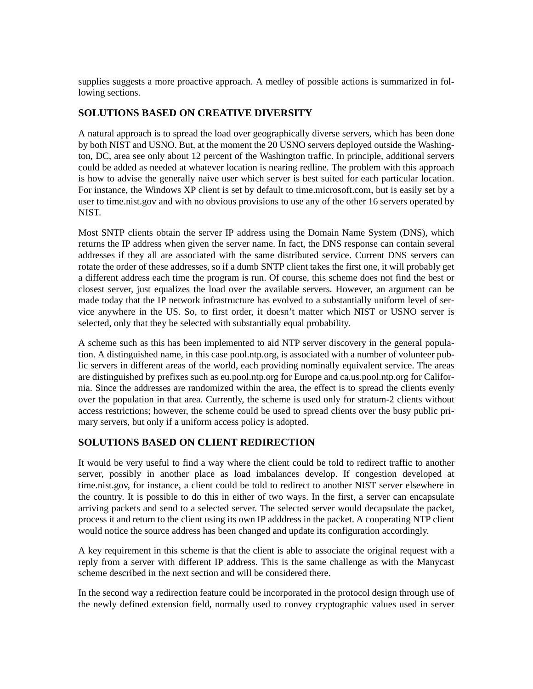supplies suggests a more proactive approach. A medley of possible actions is summarized in following sections.

## **SOLUTIONS BASED ON CREATIVE DIVERSITY**

A natural approach is to spread the load over geographically diverse servers, which has been done by both NIST and USNO. But, at the moment the 20 USNO servers deployed outside the Washington, DC, area see only about 12 percent of the Washington traffic. In principle, additional servers could be added as needed at whatever location is nearing redline. The problem with this approach is how to advise the generally naive user which server is best suited for each particular location. For instance, the Windows XP client is set by default to time.microsoft.com, but is easily set by a user to time.nist.gov and with no obvious provisions to use any of the other 16 servers operated by NIST.

Most SNTP clients obtain the server IP address using the Domain Name System (DNS), which returns the IP address when given the server name. In fact, the DNS response can contain several addresses if they all are associated with the same distributed service. Current DNS servers can rotate the order of these addresses, so if a dumb SNTP client takes the first one, it will probably get a different address each time the program is run. Of course, this scheme does not find the best or closest server, just equalizes the load over the available servers. However, an argument can be made today that the IP network infrastructure has evolved to a substantially uniform level of service anywhere in the US. So, to first order, it doesn't matter which NIST or USNO server is selected, only that they be selected with substantially equal probability.

A scheme such as this has been implemented to aid NTP server discovery in the general population. A distinguished name, in this case pool.ntp.org, is associated with a number of volunteer public servers in different areas of the world, each providing nominally equivalent service. The areas are distinguished by prefixes such as eu.pool.ntp.org for Europe and ca.us.pool.ntp.org for California. Since the addresses are randomized within the area, the effect is to spread the clients evenly over the population in that area. Currently, the scheme is used only for stratum-2 clients without access restrictions; however, the scheme could be used to spread clients over the busy public primary servers, but only if a uniform access policy is adopted.

## **SOLUTIONS BASED ON CLIENT REDIRECTION**

It would be very useful to find a way where the client could be told to redirect traffic to another server, possibly in another place as load imbalances develop. If congestion developed at time.nist.gov, for instance, a client could be told to redirect to another NIST server elsewhere in the country. It is possible to do this in either of two ways. In the first, a server can encapsulate arriving packets and send to a selected server. The selected server would decapsulate the packet, process it and return to the client using its own IP adddress in the packet. A cooperating NTP client would notice the source address has been changed and update its configuration accordingly.

A key requirement in this scheme is that the client is able to associate the original request with a reply from a server with different IP address. This is the same challenge as with the Manycast scheme described in the next section and will be considered there.

In the second way a redirection feature could be incorporated in the protocol design through use of the newly defined extension field, normally used to convey cryptographic values used in server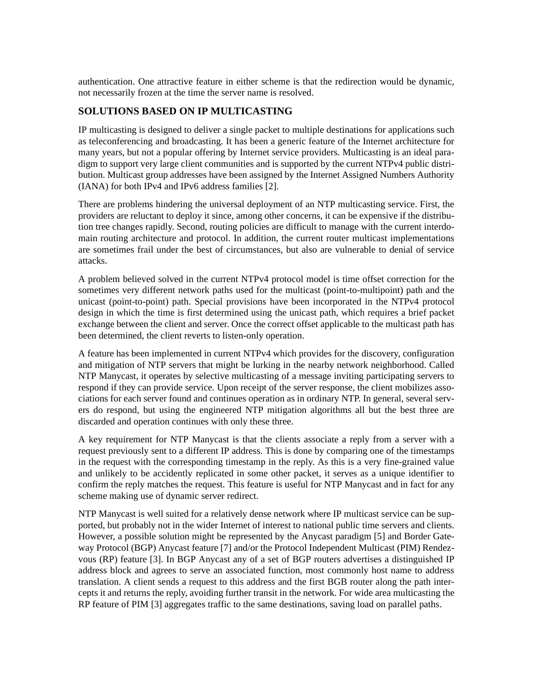authentication. One attractive feature in either scheme is that the redirection would be dynamic, not necessarily frozen at the time the server name is resolved.

## **SOLUTIONS BASED ON IP MULTICASTING**

IP multicasting is designed to deliver a single packet to multiple destinations for applications such as teleconferencing and broadcasting. It has been a generic feature of the Internet architecture for many years, but not a popular offering by Internet service providers. Multicasting is an ideal paradigm to support very large client communities and is supported by the current NTPv4 public distribution. Multicast group addresses have been assigned by the Internet Assigned Numbers Authority (IANA) for both IPv4 and IPv6 address families [2].

There are problems hindering the universal deployment of an NTP multicasting service. First, the providers are reluctant to deploy it since, among other concerns, it can be expensive if the distribution tree changes rapidly. Second, routing policies are difficult to manage with the current interdomain routing architecture and protocol. In addition, the current router multicast implementations are sometimes frail under the best of circumstances, but also are vulnerable to denial of service attacks.

A problem believed solved in the current NTPv4 protocol model is time offset correction for the sometimes very different network paths used for the multicast (point-to-multipoint) path and the unicast (point-to-point) path. Special provisions have been incorporated in the NTPv4 protocol design in which the time is first determined using the unicast path, which requires a brief packet exchange between the client and server. Once the correct offset applicable to the multicast path has been determined, the client reverts to listen-only operation.

A feature has been implemented in current NTPv4 which provides for the discovery, configuration and mitigation of NTP servers that might be lurking in the nearby network neighborhood. Called NTP Manycast, it operates by selective multicasting of a message inviting participating servers to respond if they can provide service. Upon receipt of the server response, the client mobilizes associations for each server found and continues operation as in ordinary NTP. In general, several servers do respond, but using the engineered NTP mitigation algorithms all but the best three are discarded and operation continues with only these three.

A key requirement for NTP Manycast is that the clients associate a reply from a server with a request previously sent to a different IP address. This is done by comparing one of the timestamps in the request with the corresponding timestamp in the reply. As this is a very fine-grained value and unlikely to be accidently replicated in some other packet, it serves as a unique identifier to confirm the reply matches the request. This feature is useful for NTP Manycast and in fact for any scheme making use of dynamic server redirect.

NTP Manycast is well suited for a relatively dense network where IP multicast service can be supported, but probably not in the wider Internet of interest to national public time servers and clients. However, a possible solution might be represented by the Anycast paradigm [5] and Border Gateway Protocol (BGP) Anycast feature [7] and/or the Protocol Independent Multicast (PIM) Rendezvous (RP) feature [3]. In BGP Anycast any of a set of BGP routers advertises a distinguished IP address block and agrees to serve an associated function, most commonly host name to address translation. A client sends a request to this address and the first BGB router along the path intercepts it and returns the reply, avoiding further transit in the network. For wide area multicasting the RP feature of PIM [3] aggregates traffic to the same destinations, saving load on parallel paths.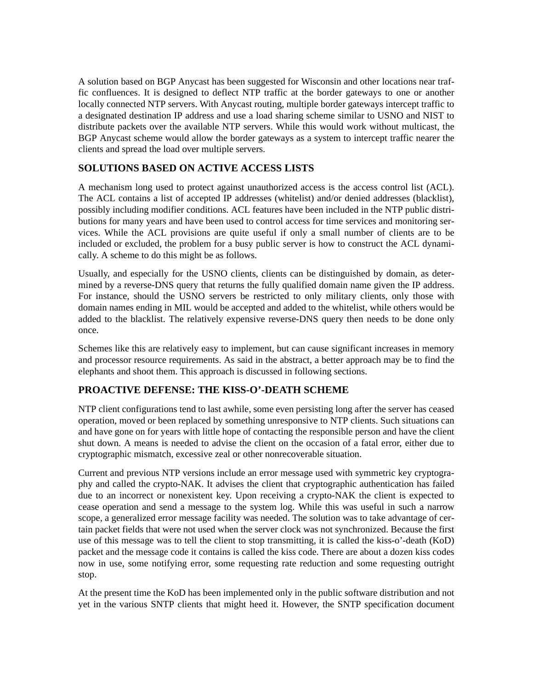A solution based on BGP Anycast has been suggested for Wisconsin and other locations near traffic confluences. It is designed to deflect NTP traffic at the border gateways to one or another locally connected NTP servers. With Anycast routing, multiple border gateways intercept traffic to a designated destination IP address and use a load sharing scheme similar to USNO and NIST to distribute packets over the available NTP servers. While this would work without multicast, the BGP Anycast scheme would allow the border gateways as a system to intercept traffic nearer the clients and spread the load over multiple servers.

# **SOLUTIONS BASED ON ACTIVE ACCESS LISTS**

A mechanism long used to protect against unauthorized access is the access control list (ACL). The ACL contains a list of accepted IP addresses (whitelist) and/or denied addresses (blacklist), possibly including modifier conditions. ACL features have been included in the NTP public distributions for many years and have been used to control access for time services and monitoring services. While the ACL provisions are quite useful if only a small number of clients are to be included or excluded, the problem for a busy public server is how to construct the ACL dynamically. A scheme to do this might be as follows.

Usually, and especially for the USNO clients, clients can be distinguished by domain, as determined by a reverse-DNS query that returns the fully qualified domain name given the IP address. For instance, should the USNO servers be restricted to only military clients, only those with domain names ending in MIL would be accepted and added to the whitelist, while others would be added to the blacklist. The relatively expensive reverse-DNS query then needs to be done only once.

Schemes like this are relatively easy to implement, but can cause significant increases in memory and processor resource requirements. As said in the abstract, a better approach may be to find the elephants and shoot them. This approach is discussed in following sections.

## **PROACTIVE DEFENSE: THE KISS-O'-DEATH SCHEME**

NTP client configurations tend to last awhile, some even persisting long after the server has ceased operation, moved or been replaced by something unresponsive to NTP clients. Such situations can and have gone on for years with little hope of contacting the responsible person and have the client shut down. A means is needed to advise the client on the occasion of a fatal error, either due to cryptographic mismatch, excessive zeal or other nonrecoverable situation.

Current and previous NTP versions include an error message used with symmetric key cryptography and called the crypto-NAK. It advises the client that cryptographic authentication has failed due to an incorrect or nonexistent key. Upon receiving a crypto-NAK the client is expected to cease operation and send a message to the system log. While this was useful in such a narrow scope, a generalized error message facility was needed. The solution was to take advantage of certain packet fields that were not used when the server clock was not synchronized. Because the first use of this message was to tell the client to stop transmitting, it is called the kiss-o'-death (KoD) packet and the message code it contains is called the kiss code. There are about a dozen kiss codes now in use, some notifying error, some requesting rate reduction and some requesting outright stop.

At the present time the KoD has been implemented only in the public software distribution and not yet in the various SNTP clients that might heed it. However, the SNTP specification document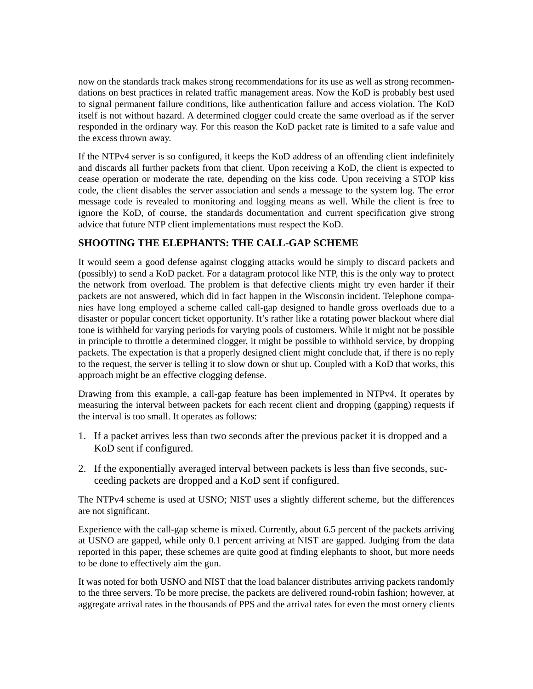now on the standards track makes strong recommendations for its use as well as strong recommendations on best practices in related traffic management areas. Now the KoD is probably best used to signal permanent failure conditions, like authentication failure and access violation. The KoD itself is not without hazard. A determined clogger could create the same overload as if the server responded in the ordinary way. For this reason the KoD packet rate is limited to a safe value and the excess thrown away.

If the NTPv4 server is so configured, it keeps the KoD address of an offending client indefinitely and discards all further packets from that client. Upon receiving a KoD, the client is expected to cease operation or moderate the rate, depending on the kiss code. Upon receiving a STOP kiss code, the client disables the server association and sends a message to the system log. The error message code is revealed to monitoring and logging means as well. While the client is free to ignore the KoD, of course, the standards documentation and current specification give strong advice that future NTP client implementations must respect the KoD.

## **SHOOTING THE ELEPHANTS: THE CALL-GAP SCHEME**

It would seem a good defense against clogging attacks would be simply to discard packets and (possibly) to send a KoD packet. For a datagram protocol like NTP, this is the only way to protect the network from overload. The problem is that defective clients might try even harder if their packets are not answered, which did in fact happen in the Wisconsin incident. Telephone companies have long employed a scheme called call-gap designed to handle gross overloads due to a disaster or popular concert ticket opportunity. It's rather like a rotating power blackout where dial tone is withheld for varying periods for varying pools of customers. While it might not be possible in principle to throttle a determined clogger, it might be possible to withhold service, by dropping packets. The expectation is that a properly designed client might conclude that, if there is no reply to the request, the server is telling it to slow down or shut up. Coupled with a KoD that works, this approach might be an effective clogging defense.

Drawing from this example, a call-gap feature has been implemented in NTPv4. It operates by measuring the interval between packets for each recent client and dropping (gapping) requests if the interval is too small. It operates as follows:

- 1. If a packet arrives less than two seconds after the previous packet it is dropped and a KoD sent if configured.
- 2. If the exponentially averaged interval between packets is less than five seconds, succeeding packets are dropped and a KoD sent if configured.

The NTPv4 scheme is used at USNO; NIST uses a slightly different scheme, but the differences are not significant.

Experience with the call-gap scheme is mixed. Currently, about 6.5 percent of the packets arriving at USNO are gapped, while only 0.1 percent arriving at NIST are gapped. Judging from the data reported in this paper, these schemes are quite good at finding elephants to shoot, but more needs to be done to effectively aim the gun.

It was noted for both USNO and NIST that the load balancer distributes arriving packets randomly to the three servers. To be more precise, the packets are delivered round-robin fashion; however, at aggregate arrival rates in the thousands of PPS and the arrival rates for even the most ornery clients